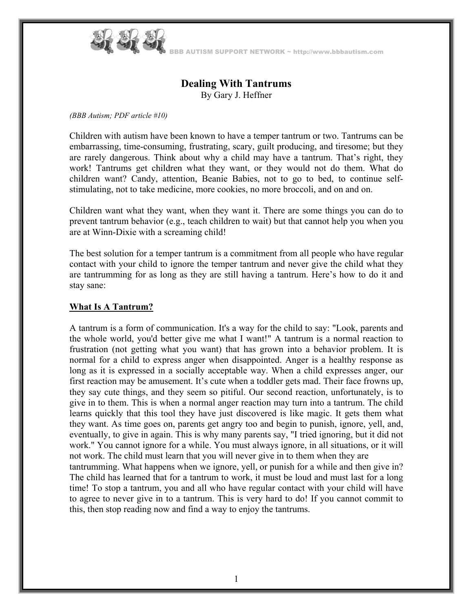

AUTISM SUPPORT NETWORK ~ http://www.bbbautism.com

# **Dealing With Tantrums**  By Gary J. Heffner

*(BBB Autism; PDF article #10)* 

Children with autism have been known to have a temper tantrum or two. Tantrums can be embarrassing, time-consuming, frustrating, scary, guilt producing, and tiresome; but they are rarely dangerous. Think about why a child may have a tantrum. That's right, they work! Tantrums get children what they want, or they would not do them. What do children want? Candy, attention, Beanie Babies, not to go to bed, to continue selfstimulating, not to take medicine, more cookies, no more broccoli, and on and on.

Children want what they want, when they want it. There are some things you can do to prevent tantrum behavior (e.g., teach children to wait) but that cannot help you when you are at Winn-Dixie with a screaming child!

The best solution for a temper tantrum is a commitment from all people who have regular contact with your child to ignore the temper tantrum and never give the child what they are tantrumming for as long as they are still having a tantrum. Here's how to do it and stay sane:

### **What Is A Tantrum?**

A tantrum is a form of communication. It's a way for the child to say: "Look, parents and the whole world, you'd better give me what I want!" A tantrum is a normal reaction to frustration (not getting what you want) that has grown into a behavior problem. It is normal for a child to express anger when disappointed. Anger is a healthy response as long as it is expressed in a socially acceptable way. When a child expresses anger, our first reaction may be amusement. It's cute when a toddler gets mad. Their face frowns up, they say cute things, and they seem so pitiful. Our second reaction, unfortunately, is to give in to them. This is when a normal anger reaction may turn into a tantrum. The child learns quickly that this tool they have just discovered is like magic. It gets them what they want. As time goes on, parents get angry too and begin to punish, ignore, yell, and, eventually, to give in again. This is why many parents say, "I tried ignoring, but it did not work." You cannot ignore for a while. You must always ignore, in all situations, or it will not work. The child must learn that you will never give in to them when they are

tantrumming. What happens when we ignore, yell, or punish for a while and then give in? The child has learned that for a tantrum to work, it must be loud and must last for a long time! To stop a tantrum, you and all who have regular contact with your child will have to agree to never give in to a tantrum. This is very hard to do! If you cannot commit to this, then stop reading now and find a way to enjoy the tantrums.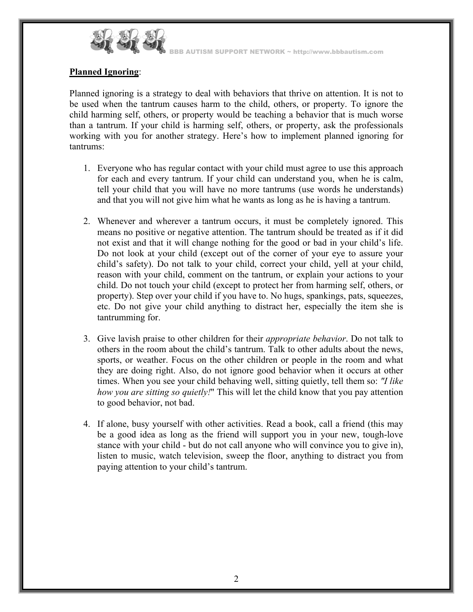

BBB AUTISM SUPPORT NETWORK ~ http://www.bbbautism.com

## **Planned Ignoring**:

Planned ignoring is a strategy to deal with behaviors that thrive on attention. It is not to be used when the tantrum causes harm to the child, others, or property. To ignore the child harming self, others, or property would be teaching a behavior that is much worse than a tantrum. If your child is harming self, others, or property, ask the professionals working with you for another strategy. Here's how to implement planned ignoring for tantrums:

- 1. Everyone who has regular contact with your child must agree to use this approach for each and every tantrum. If your child can understand you, when he is calm, tell your child that you will have no more tantrums (use words he understands) and that you will not give him what he wants as long as he is having a tantrum.
- 2. Whenever and wherever a tantrum occurs, it must be completely ignored. This means no positive or negative attention. The tantrum should be treated as if it did not exist and that it will change nothing for the good or bad in your child's life. Do not look at your child (except out of the corner of your eye to assure your child's safety). Do not talk to your child, correct your child, yell at your child, reason with your child, comment on the tantrum, or explain your actions to your child. Do not touch your child (except to protect her from harming self, others, or property). Step over your child if you have to. No hugs, spankings, pats, squeezes, etc. Do not give your child anything to distract her, especially the item she is tantrumming for.
- 3. Give lavish praise to other children for their *appropriate behavior*. Do not talk to others in the room about the child's tantrum. Talk to other adults about the news, sports, or weather. Focus on the other children or people in the room and what they are doing right. Also, do not ignore good behavior when it occurs at other times. When you see your child behaving well, sitting quietly, tell them so: *"I like how you are sitting so quietly!*" This will let the child know that you pay attention to good behavior, not bad.
- 4. If alone, busy yourself with other activities. Read a book, call a friend (this may be a good idea as long as the friend will support you in your new, tough-love stance with your child - but do not call anyone who will convince you to give in), listen to music, watch television, sweep the floor, anything to distract you from paying attention to your child's tantrum.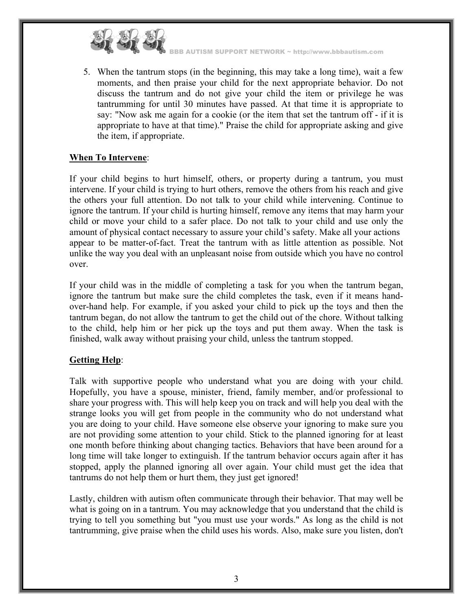

BBB AUTISM SUPPORT NETWORK ~ http://www.bbbautism.com

5. When the tantrum stops (in the beginning, this may take a long time), wait a few moments, and then praise your child for the next appropriate behavior. Do not discuss the tantrum and do not give your child the item or privilege he was tantrumming for until 30 minutes have passed. At that time it is appropriate to say: "Now ask me again for a cookie (or the item that set the tantrum off - if it is appropriate to have at that time)." Praise the child for appropriate asking and give the item, if appropriate.

## **When To Intervene**:

If your child begins to hurt himself, others, or property during a tantrum, you must intervene. If your child is trying to hurt others, remove the others from his reach and give the others your full attention. Do not talk to your child while intervening. Continue to ignore the tantrum. If your child is hurting himself, remove any items that may harm your child or move your child to a safer place. Do not talk to your child and use only the amount of physical contact necessary to assure your child's safety. Make all your actions appear to be matter-of-fact. Treat the tantrum with as little attention as possible. Not unlike the way you deal with an unpleasant noise from outside which you have no control over.

If your child was in the middle of completing a task for you when the tantrum began, ignore the tantrum but make sure the child completes the task, even if it means handover-hand help. For example, if you asked your child to pick up the toys and then the tantrum began, do not allow the tantrum to get the child out of the chore. Without talking to the child, help him or her pick up the toys and put them away. When the task is finished, walk away without praising your child, unless the tantrum stopped.

# **Getting Help**:

Talk with supportive people who understand what you are doing with your child. Hopefully, you have a spouse, minister, friend, family member, and/or professional to share your progress with. This will help keep you on track and will help you deal with the strange looks you will get from people in the community who do not understand what you are doing to your child. Have someone else observe your ignoring to make sure you are not providing some attention to your child. Stick to the planned ignoring for at least one month before thinking about changing tactics. Behaviors that have been around for a long time will take longer to extinguish. If the tantrum behavior occurs again after it has stopped, apply the planned ignoring all over again. Your child must get the idea that tantrums do not help them or hurt them, they just get ignored!

Lastly, children with autism often communicate through their behavior. That may well be what is going on in a tantrum. You may acknowledge that you understand that the child is trying to tell you something but "you must use your words." As long as the child is not tantrumming, give praise when the child uses his words. Also, make sure you listen, don't